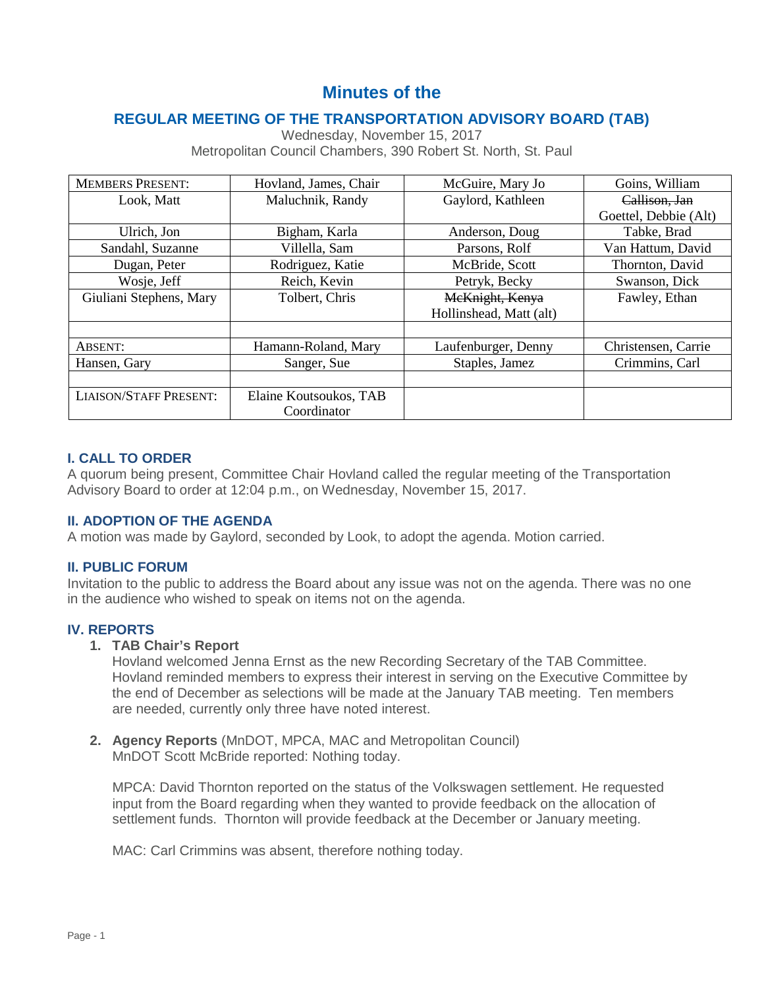# **Minutes of the**

# **REGULAR MEETING OF THE TRANSPORTATION ADVISORY BOARD (TAB)**

|                         | Metropolitan Council Chambers, 390 Robert St. North, St. Paul |                         |                       |
|-------------------------|---------------------------------------------------------------|-------------------------|-----------------------|
| <b>MEMBERS PRESENT:</b> | Hovland, James, Chair                                         | McGuire, Mary Jo        | Goins, William        |
| Look, Matt              | Maluchnik, Randy                                              | Gaylord, Kathleen       | Callison, Jan         |
|                         |                                                               |                         | Goettel, Debbie (Alt) |
| Ulrich, Jon             | Bigham, Karla                                                 | Anderson, Doug          | Tabke, Brad           |
| Sandahl, Suzanne        | Villella, Sam                                                 | Parsons, Rolf           | Van Hattum, David     |
| Dugan, Peter            | Rodriguez, Katie                                              | McBride, Scott          | Thornton, David       |
| Wosje, Jeff             | Reich, Kevin                                                  | Petryk, Becky           | Swanson, Dick         |
| Giuliani Stephens, Mary | Tolbert, Chris                                                | McKnight, Kenya         | Fawley, Ethan         |
|                         |                                                               | Hollinshead, Matt (alt) |                       |
|                         |                                                               |                         |                       |
| ABSENT:                 | Hamann-Roland, Mary                                           | Laufenburger, Denny     | Christensen, Carrie   |

Hansen, Gary Sanger, Sue Staples, Jamez Crimmins, Carl

Wednesday, November 15, 2017 Metropolitan Council Chambers, 390 Robert St. North, St. Paul

# **I. CALL TO ORDER**

A quorum being present, Committee Chair Hovland called the regular meeting of the Transportation Advisory Board to order at 12:04 p.m., on Wednesday, November 15, 2017.

#### **II. ADOPTION OF THE AGENDA**

LIAISON/STAFF PRESENT: Elaine Koutsoukos, TAB

A motion was made by Gaylord, seconded by Look, to adopt the agenda. Motion carried.

Coordinator

#### **II. PUBLIC FORUM**

Invitation to the public to address the Board about any issue was not on the agenda. There was no one in the audience who wished to speak on items not on the agenda.

#### **IV. REPORTS**

## **1. TAB Chair's Report**

Hovland welcomed Jenna Ernst as the new Recording Secretary of the TAB Committee. Hovland reminded members to express their interest in serving on the Executive Committee by the end of December as selections will be made at the January TAB meeting. Ten members are needed, currently only three have noted interest.

**2. Agency Reports** (MnDOT, MPCA, MAC and Metropolitan Council) MnDOT Scott McBride reported: Nothing today.

MPCA: David Thornton reported on the status of the Volkswagen settlement. He requested input from the Board regarding when they wanted to provide feedback on the allocation of settlement funds. Thornton will provide feedback at the December or January meeting.

MAC: Carl Crimmins was absent, therefore nothing today.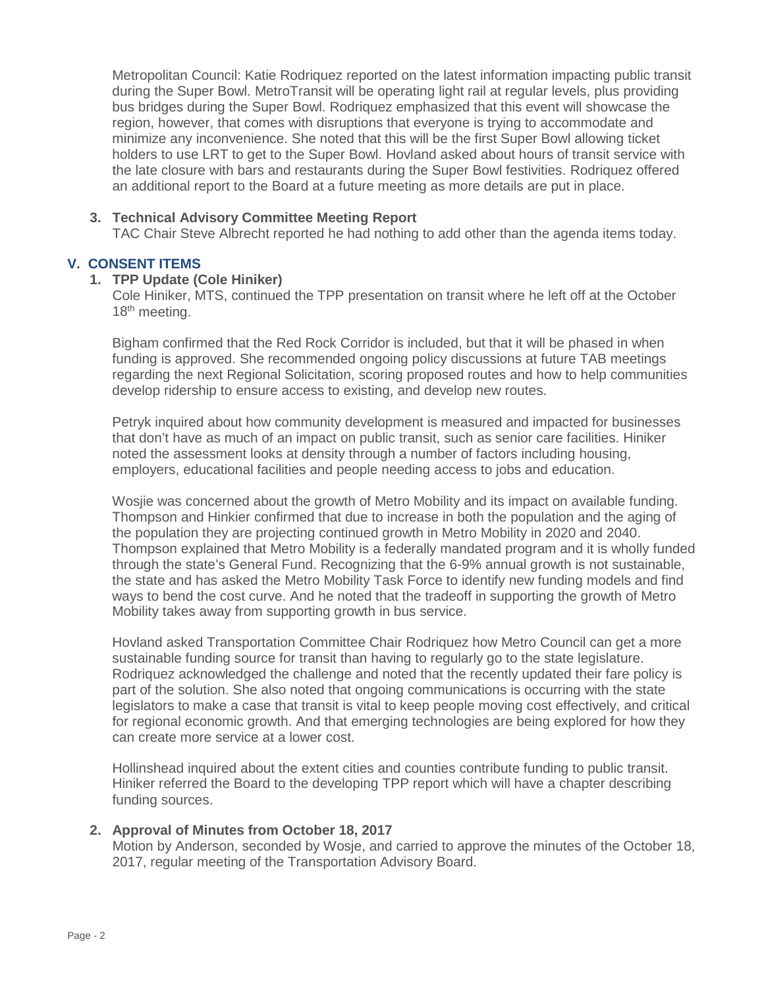Metropolitan Council: Katie Rodriquez reported on the latest information impacting public transit during the Super Bowl. MetroTransit will be operating light rail at regular levels, plus providing bus bridges during the Super Bowl. Rodriquez emphasized that this event will showcase the region, however, that comes with disruptions that everyone is trying to accommodate and minimize any inconvenience. She noted that this will be the first Super Bowl allowing ticket holders to use LRT to get to the Super Bowl. Hovland asked about hours of transit service with the late closure with bars and restaurants during the Super Bowl festivities. Rodriquez offered an additional report to the Board at a future meeting as more details are put in place.

## **3. Technical Advisory Committee Meeting Report**

TAC Chair Steve Albrecht reported he had nothing to add other than the agenda items today.

## **V. CONSENT ITEMS**

#### **1. TPP Update (Cole Hiniker)**

Cole Hiniker, MTS, continued the TPP presentation on transit where he left off at the October 18<sup>th</sup> meeting.

Bigham confirmed that the Red Rock Corridor is included, but that it will be phased in when funding is approved. She recommended ongoing policy discussions at future TAB meetings regarding the next Regional Solicitation, scoring proposed routes and how to help communities develop ridership to ensure access to existing, and develop new routes.

Petryk inquired about how community development is measured and impacted for businesses that don't have as much of an impact on public transit, such as senior care facilities. Hiniker noted the assessment looks at density through a number of factors including housing, employers, educational facilities and people needing access to jobs and education.

Wosjie was concerned about the growth of Metro Mobility and its impact on available funding. Thompson and Hinkier confirmed that due to increase in both the population and the aging of the population they are projecting continued growth in Metro Mobility in 2020 and 2040. Thompson explained that Metro Mobility is a federally mandated program and it is wholly funded through the state's General Fund. Recognizing that the 6-9% annual growth is not sustainable, the state and has asked the Metro Mobility Task Force to identify new funding models and find ways to bend the cost curve. And he noted that the tradeoff in supporting the growth of Metro Mobility takes away from supporting growth in bus service.

Hovland asked Transportation Committee Chair Rodriquez how Metro Council can get a more sustainable funding source for transit than having to regularly go to the state legislature. Rodriquez acknowledged the challenge and noted that the recently updated their fare policy is part of the solution. She also noted that ongoing communications is occurring with the state legislators to make a case that transit is vital to keep people moving cost effectively, and critical for regional economic growth. And that emerging technologies are being explored for how they can create more service at a lower cost.

Hollinshead inquired about the extent cities and counties contribute funding to public transit. Hiniker referred the Board to the developing TPP report which will have a chapter describing funding sources.

#### **2. Approval of Minutes from October 18, 2017**

Motion by Anderson, seconded by Wosje, and carried to approve the minutes of the October 18, 2017, regular meeting of the Transportation Advisory Board.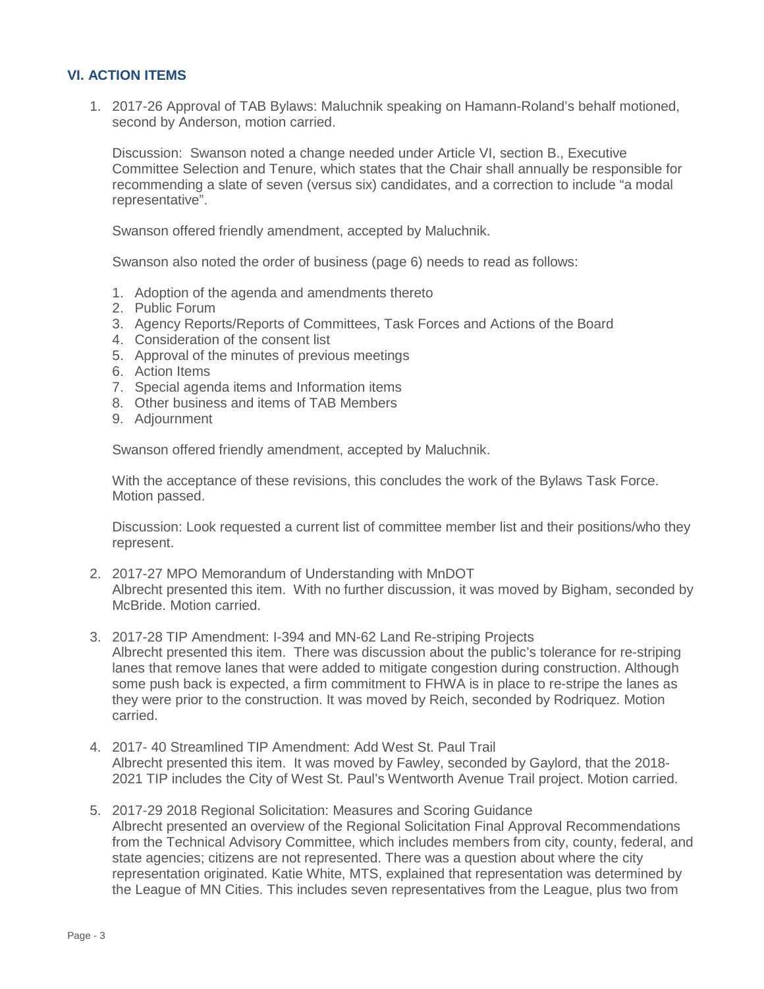# **VI. ACTION ITEMS**

1. 2017-26 Approval of TAB Bylaws: Maluchnik speaking on Hamann-Roland's behalf motioned, second by Anderson, motion carried.

Discussion: Swanson noted a change needed under Article VI, section B., Executive Committee Selection and Tenure, which states that the Chair shall annually be responsible for recommending a slate of seven (versus six) candidates, and a correction to include "a modal representative".

Swanson offered friendly amendment, accepted by Maluchnik.

Swanson also noted the order of business (page 6) needs to read as follows:

- 1. Adoption of the agenda and amendments thereto
- 2. Public Forum
- 3. Agency Reports/Reports of Committees, Task Forces and Actions of the Board
- 4. Consideration of the consent list
- 5. Approval of the minutes of previous meetings
- 6. Action Items
- 7. Special agenda items and Information items
- 8. Other business and items of TAB Members
- 9. Adjournment

Swanson offered friendly amendment, accepted by Maluchnik.

With the acceptance of these revisions, this concludes the work of the Bylaws Task Force. Motion passed.

Discussion: Look requested a current list of committee member list and their positions/who they represent.

- 2. 2017-27 MPO Memorandum of Understanding with MnDOT Albrecht presented this item. With no further discussion, it was moved by Bigham, seconded by McBride. Motion carried.
- 3. 2017-28 TIP Amendment: I-394 and MN-62 Land Re-striping Projects Albrecht presented this item. There was discussion about the public's tolerance for re-striping lanes that remove lanes that were added to mitigate congestion during construction. Although some push back is expected, a firm commitment to FHWA is in place to re-stripe the lanes as they were prior to the construction. It was moved by Reich, seconded by Rodriquez. Motion carried.
- 4. 2017- 40 Streamlined TIP Amendment: Add West St. Paul Trail Albrecht presented this item. It was moved by Fawley, seconded by Gaylord, that the 2018- 2021 TIP includes the City of West St. Paul's Wentworth Avenue Trail project. Motion carried.
- 5. 2017-29 2018 Regional Solicitation: Measures and Scoring Guidance Albrecht presented an overview of the Regional Solicitation Final Approval Recommendations from the Technical Advisory Committee, which includes members from city, county, federal, and state agencies; citizens are not represented. There was a question about where the city representation originated. Katie White, MTS, explained that representation was determined by the League of MN Cities. This includes seven representatives from the League, plus two from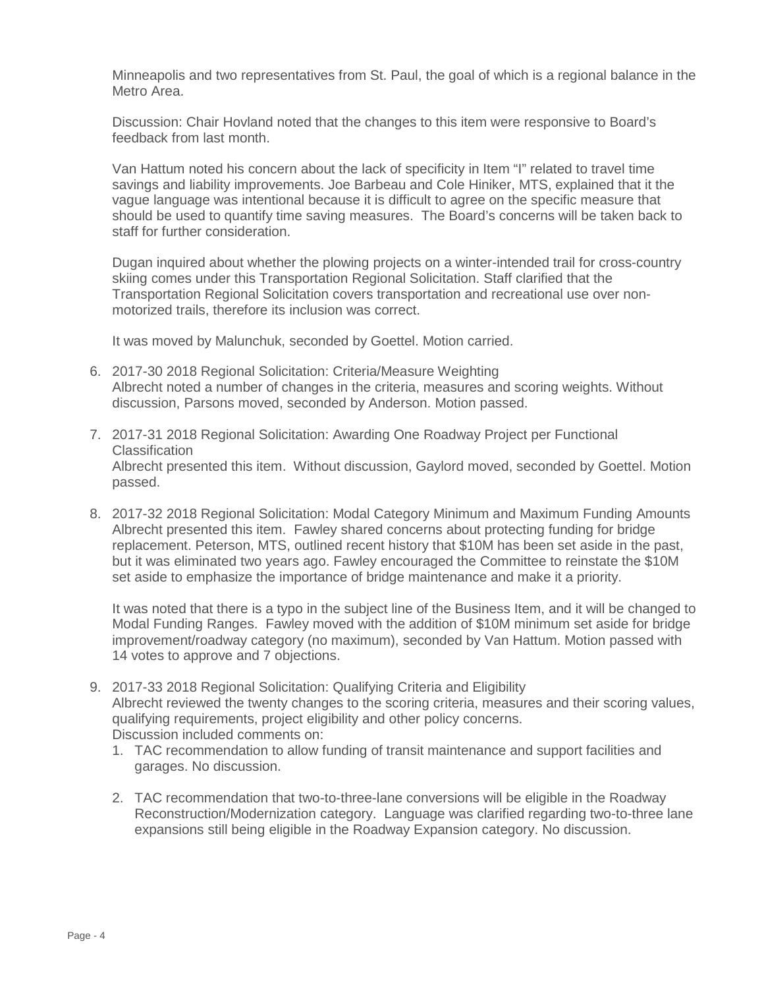Minneapolis and two representatives from St. Paul, the goal of which is a regional balance in the Metro Area.

Discussion: Chair Hovland noted that the changes to this item were responsive to Board's feedback from last month.

Van Hattum noted his concern about the lack of specificity in Item "I" related to travel time savings and liability improvements. Joe Barbeau and Cole Hiniker, MTS, explained that it the vague language was intentional because it is difficult to agree on the specific measure that should be used to quantify time saving measures. The Board's concerns will be taken back to staff for further consideration.

Dugan inquired about whether the plowing projects on a winter-intended trail for cross-country skiing comes under this Transportation Regional Solicitation. Staff clarified that the Transportation Regional Solicitation covers transportation and recreational use over nonmotorized trails, therefore its inclusion was correct.

It was moved by Malunchuk, seconded by Goettel. Motion carried.

- 6. 2017-30 2018 Regional Solicitation: Criteria/Measure Weighting Albrecht noted a number of changes in the criteria, measures and scoring weights. Without discussion, Parsons moved, seconded by Anderson. Motion passed.
- 7. 2017-31 2018 Regional Solicitation: Awarding One Roadway Project per Functional Classification Albrecht presented this item. Without discussion, Gaylord moved, seconded by Goettel. Motion passed.
- 8. 2017-32 2018 Regional Solicitation: Modal Category Minimum and Maximum Funding Amounts Albrecht presented this item. Fawley shared concerns about protecting funding for bridge replacement. Peterson, MTS, outlined recent history that \$10M has been set aside in the past, but it was eliminated two years ago. Fawley encouraged the Committee to reinstate the \$10M set aside to emphasize the importance of bridge maintenance and make it a priority.

It was noted that there is a typo in the subject line of the Business Item, and it will be changed to Modal Funding Ranges. Fawley moved with the addition of \$10M minimum set aside for bridge improvement/roadway category (no maximum), seconded by Van Hattum. Motion passed with 14 votes to approve and 7 objections.

- 9. 2017-33 2018 Regional Solicitation: Qualifying Criteria and Eligibility Albrecht reviewed the twenty changes to the scoring criteria, measures and their scoring values, qualifying requirements, project eligibility and other policy concerns. Discussion included comments on:
	- 1. TAC recommendation to allow funding of transit maintenance and support facilities and garages. No discussion.
	- 2. TAC recommendation that two-to-three-lane conversions will be eligible in the Roadway Reconstruction/Modernization category. Language was clarified regarding two-to-three lane expansions still being eligible in the Roadway Expansion category. No discussion.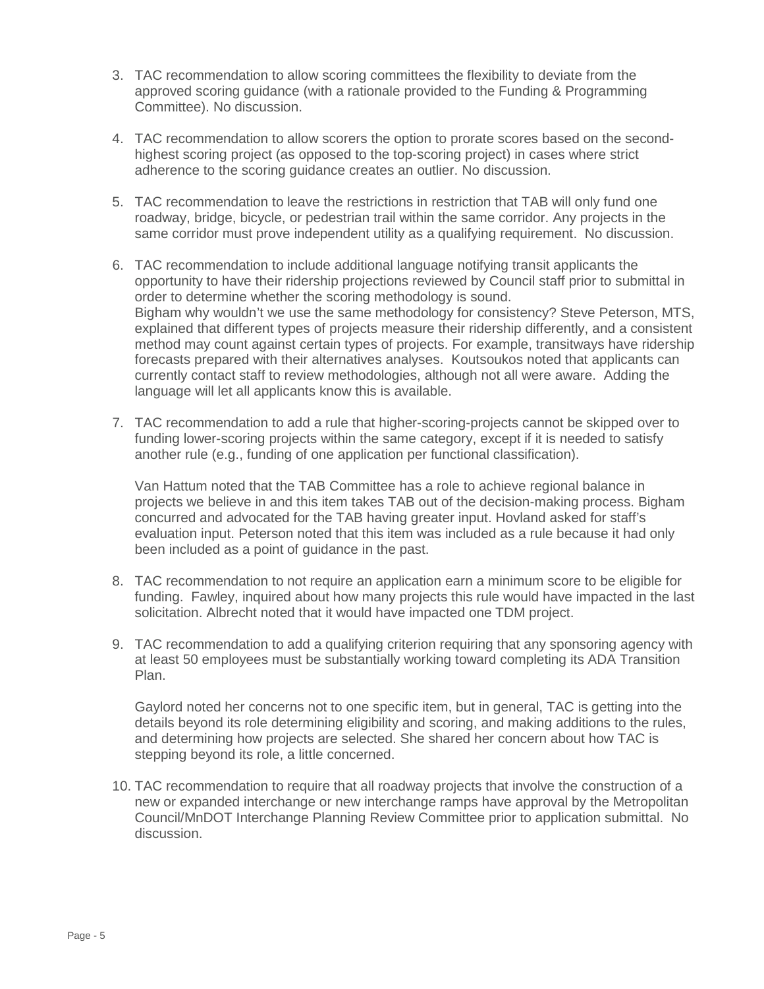- 3. TAC recommendation to allow scoring committees the flexibility to deviate from the approved scoring guidance (with a rationale provided to the Funding & Programming Committee). No discussion.
- 4. TAC recommendation to allow scorers the option to prorate scores based on the secondhighest scoring project (as opposed to the top-scoring project) in cases where strict adherence to the scoring guidance creates an outlier. No discussion.
- 5. TAC recommendation to leave the restrictions in restriction that TAB will only fund one roadway, bridge, bicycle, or pedestrian trail within the same corridor. Any projects in the same corridor must prove independent utility as a qualifying requirement. No discussion.
- 6. TAC recommendation to include additional language notifying transit applicants the opportunity to have their ridership projections reviewed by Council staff prior to submittal in order to determine whether the scoring methodology is sound. Bigham why wouldn't we use the same methodology for consistency? Steve Peterson, MTS, explained that different types of projects measure their ridership differently, and a consistent method may count against certain types of projects. For example, transitways have ridership forecasts prepared with their alternatives analyses. Koutsoukos noted that applicants can currently contact staff to review methodologies, although not all were aware. Adding the language will let all applicants know this is available.
- 7. TAC recommendation to add a rule that higher-scoring-projects cannot be skipped over to funding lower-scoring projects within the same category, except if it is needed to satisfy another rule (e.g., funding of one application per functional classification).

Van Hattum noted that the TAB Committee has a role to achieve regional balance in projects we believe in and this item takes TAB out of the decision-making process. Bigham concurred and advocated for the TAB having greater input. Hovland asked for staff's evaluation input. Peterson noted that this item was included as a rule because it had only been included as a point of guidance in the past.

- 8. TAC recommendation to not require an application earn a minimum score to be eligible for funding. Fawley, inquired about how many projects this rule would have impacted in the last solicitation. Albrecht noted that it would have impacted one TDM project.
- 9. TAC recommendation to add a qualifying criterion requiring that any sponsoring agency with at least 50 employees must be substantially working toward completing its ADA Transition Plan.

Gaylord noted her concerns not to one specific item, but in general, TAC is getting into the details beyond its role determining eligibility and scoring, and making additions to the rules, and determining how projects are selected. She shared her concern about how TAC is stepping beyond its role, a little concerned.

10. TAC recommendation to require that all roadway projects that involve the construction of a new or expanded interchange or new interchange ramps have approval by the Metropolitan Council/MnDOT Interchange Planning Review Committee prior to application submittal. No discussion.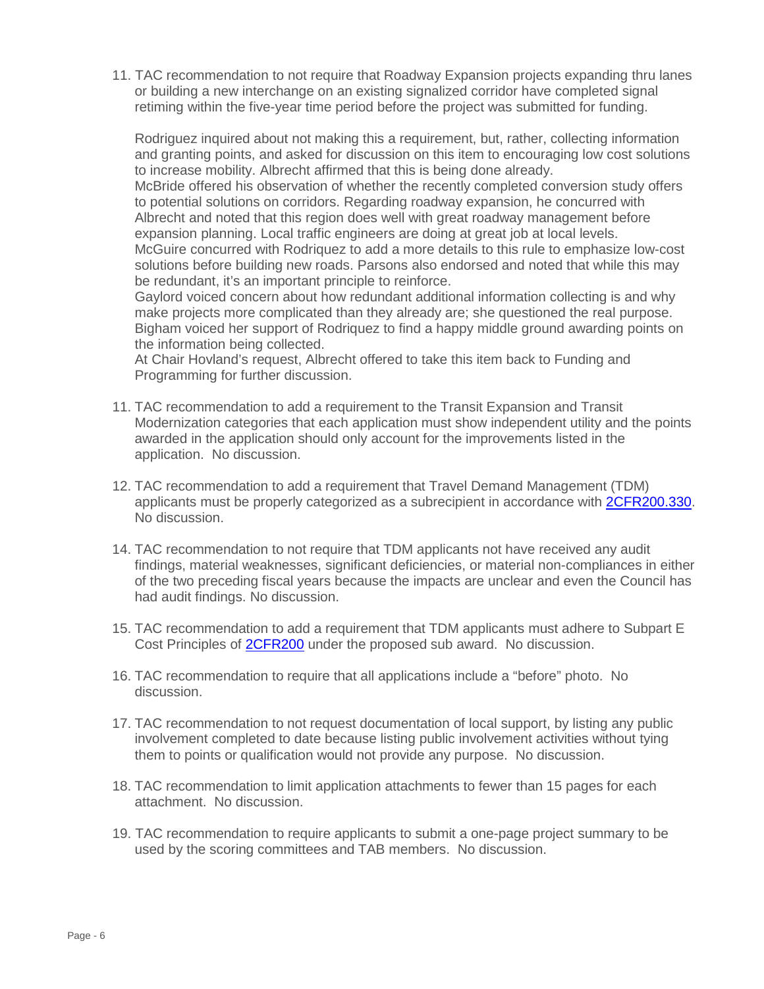11. TAC recommendation to not require that Roadway Expansion projects expanding thru lanes or building a new interchange on an existing signalized corridor have completed signal retiming within the five-year time period before the project was submitted for funding.

Rodriguez inquired about not making this a requirement, but, rather, collecting information and granting points, and asked for discussion on this item to encouraging low cost solutions to increase mobility. Albrecht affirmed that this is being done already.

McBride offered his observation of whether the recently completed conversion study offers to potential solutions on corridors. Regarding roadway expansion, he concurred with Albrecht and noted that this region does well with great roadway management before expansion planning. Local traffic engineers are doing at great job at local levels. McGuire concurred with Rodriquez to add a more details to this rule to emphasize low-cost solutions before building new roads. Parsons also endorsed and noted that while this may

be redundant, it's an important principle to reinforce.

Gaylord voiced concern about how redundant additional information collecting is and why make projects more complicated than they already are; she questioned the real purpose. Bigham voiced her support of Rodriquez to find a happy middle ground awarding points on the information being collected.

At Chair Hovland's request, Albrecht offered to take this item back to Funding and Programming for further discussion.

- 11. TAC recommendation to add a requirement to the Transit Expansion and Transit Modernization categories that each application must show independent utility and the points awarded in the application should only account for the improvements listed in the application. No discussion.
- 12. TAC recommendation to add a requirement that Travel Demand Management (TDM) applicants must be properly categorized as a subrecipient in accordance with [2CFR200.330.](https://www.gpo.gov/fdsys/pkg/CFR-2014-title2-vol1/pdf/CFR-2014-title2-vol1-sec200-330.pdf) No discussion.
- 14. TAC recommendation to not require that TDM applicants not have received any audit findings, material weaknesses, significant deficiencies, or material non-compliances in either of the two preceding fiscal years because the impacts are unclear and even the Council has had audit findings. No discussion.
- 15. TAC recommendation to add a requirement that TDM applicants must adhere to Subpart E Cost Principles of [2CFR200](https://www.gpo.gov/fdsys/pkg/CFR-2014-title2-vol1/pdf/CFR-2014-title2-vol1-part200.pdf) under the proposed sub award. No discussion.
- 16. TAC recommendation to require that all applications include a "before" photo. No discussion.
- 17. TAC recommendation to not request documentation of local support, by listing any public involvement completed to date because listing public involvement activities without tying them to points or qualification would not provide any purpose. No discussion.
- 18. TAC recommendation to limit application attachments to fewer than 15 pages for each attachment. No discussion.
- 19. TAC recommendation to require applicants to submit a one-page project summary to be used by the scoring committees and TAB members. No discussion.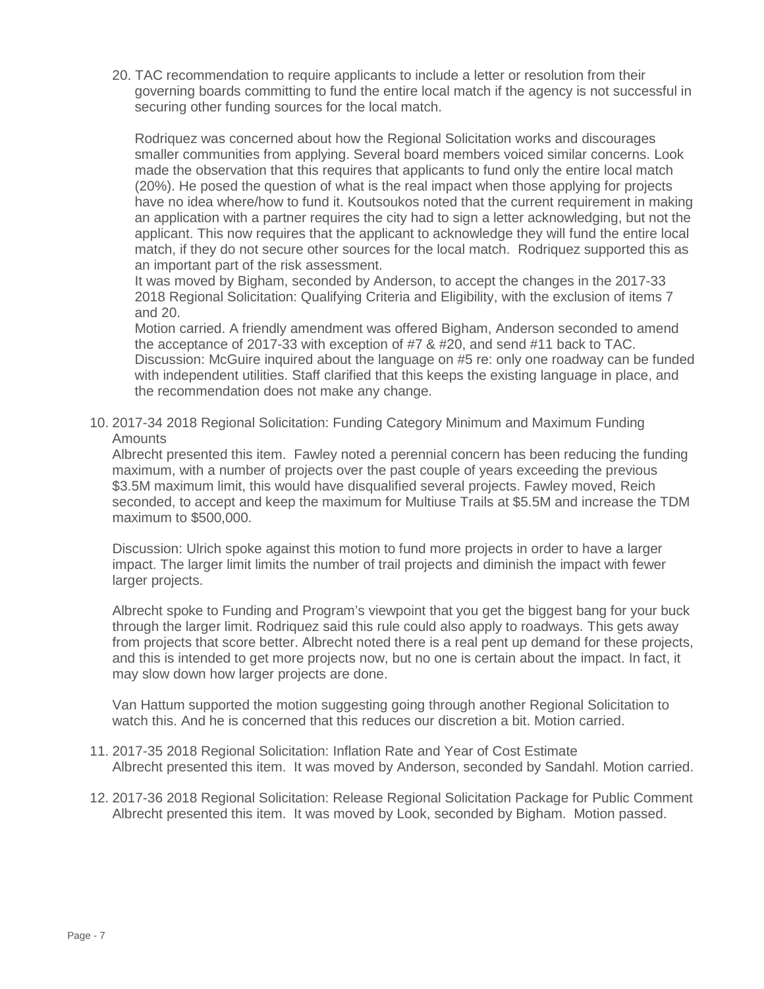20. TAC recommendation to require applicants to include a letter or resolution from their governing boards committing to fund the entire local match if the agency is not successful in securing other funding sources for the local match.

Rodriquez was concerned about how the Regional Solicitation works and discourages smaller communities from applying. Several board members voiced similar concerns. Look made the observation that this requires that applicants to fund only the entire local match (20%). He posed the question of what is the real impact when those applying for projects have no idea where/how to fund it. Koutsoukos noted that the current requirement in making an application with a partner requires the city had to sign a letter acknowledging, but not the applicant. This now requires that the applicant to acknowledge they will fund the entire local match, if they do not secure other sources for the local match. Rodriquez supported this as an important part of the risk assessment.

It was moved by Bigham, seconded by Anderson, to accept the changes in the 2017-33 2018 Regional Solicitation: Qualifying Criteria and Eligibility, with the exclusion of items 7 and 20.

Motion carried. A friendly amendment was offered Bigham, Anderson seconded to amend the acceptance of 2017-33 with exception of #7 & #20, and send #11 back to TAC. Discussion: McGuire inquired about the language on #5 re: only one roadway can be funded with independent utilities. Staff clarified that this keeps the existing language in place, and the recommendation does not make any change.

10. 2017-34 2018 Regional Solicitation: Funding Category Minimum and Maximum Funding **Amounts** 

Albrecht presented this item. Fawley noted a perennial concern has been reducing the funding maximum, with a number of projects over the past couple of years exceeding the previous \$3.5M maximum limit, this would have disqualified several projects. Fawley moved, Reich seconded, to accept and keep the maximum for Multiuse Trails at \$5.5M and increase the TDM maximum to \$500,000.

Discussion: Ulrich spoke against this motion to fund more projects in order to have a larger impact. The larger limit limits the number of trail projects and diminish the impact with fewer larger projects.

Albrecht spoke to Funding and Program's viewpoint that you get the biggest bang for your buck through the larger limit. Rodriquez said this rule could also apply to roadways. This gets away from projects that score better. Albrecht noted there is a real pent up demand for these projects, and this is intended to get more projects now, but no one is certain about the impact. In fact, it may slow down how larger projects are done.

Van Hattum supported the motion suggesting going through another Regional Solicitation to watch this. And he is concerned that this reduces our discretion a bit. Motion carried.

- 11. 2017-35 2018 Regional Solicitation: Inflation Rate and Year of Cost Estimate Albrecht presented this item. It was moved by Anderson, seconded by Sandahl. Motion carried.
- 12. 2017-36 2018 Regional Solicitation: Release Regional Solicitation Package for Public Comment Albrecht presented this item. It was moved by Look, seconded by Bigham. Motion passed.